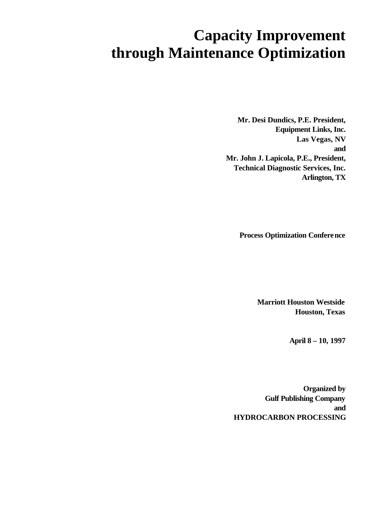# **Capacity Improvement through Maintenance Optimization**

 **Mr. Desi Dundics, P.E. President, Equipment Links, Inc. Las Vegas, NV and Mr. John J. Lapicola, P.E., President, Technical Diagnostic Services, Inc. Arlington, TX**

**Process Optimization Conference**

**Marriott Houston Westside Houston, Texas**

**April 8 – 10, 1997**

**Organized by Gulf Publishing Company and HYDROCARBON PROCESSING**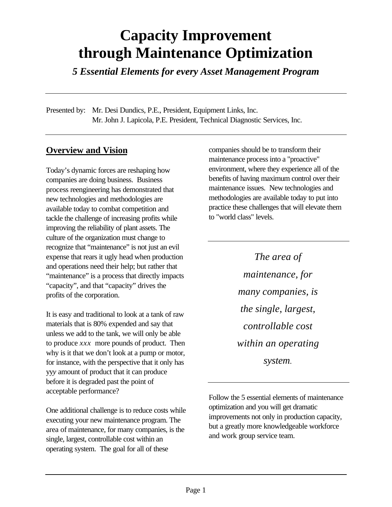# **Capacity Improvement through Maintenance Optimization**

*5 Essential Elements for every Asset Management Program*

Presented by: Mr. Desi Dundics, P.E., President, Equipment Links, Inc. Mr. John J. Lapicola, P.E. President, Technical Diagnostic Services, Inc.

### **Overview and Vision**

Today's dynamic forces are reshaping how companies are doing business. Business process reengineering has demonstrated that new technologies and methodologies are available today to combat competition and tackle the challenge of increasing profits while improving the reliability of plant assets. The culture of the organization must change to recognize that "maintenance" is not just an evil expense that rears it ugly head when production and operations need their help; but rather that "maintenance" is a process that directly impacts "capacity", and that "capacity" drives the profits of the corporation.

It is easy and traditional to look at a tank of raw materials that is 80% expended and say that unless we add to the tank, we will only be able to produce *xxx* more pounds of product. Then why is it that we don't look at a pump or motor, for instance, with the perspective that it only has yy*y* amount of product that it can produce before it is degraded past the point of acceptable performance?

One additional challenge is to reduce costs while executing your new maintenance program. The area of maintenance, for many companies, is the single, largest, controllable cost within an operating system. The goal for all of these

companies should be to transform their maintenance process into a "proactive" environment, where they experience all of the benefits of having maximum control over their maintenance issues. New technologies and methodologies are available today to put into practice these challenges that will elevate them to "world class" levels.

> *The area of maintenance, for many companies, is the single, largest, controllable cost within an operating system*.

Follow the 5 essential elements of maintenance optimization and you will get dramatic improvements not only in production capacity, but a greatly more knowledgeable workforce and work group service team.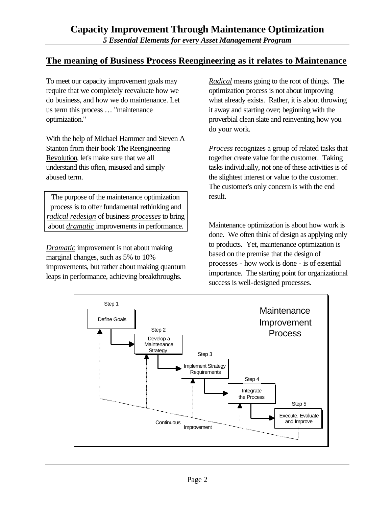### **The meaning of Business Process Reengineering as it relates to Maintenance**

To meet our capacity improvement goals may require that we completely reevaluate how we do business, and how we do maintenance. Let us term this process … "maintenance optimization."

With the help of Michael Hammer and Steven A Stanton from their book The Reengineering Revolution, let's make sure that we all understand this often, misused and simply abused term.

The purpose of the maintenance optimization process is to offer fundamental rethinking and *radical redesign* of business *processes* to bring about *dramatic* improvements in performance.

*Dramatic* improvement is not about making marginal changes, such as 5% to 10% improvements, but rather about making quantum leaps in performance, achieving breakthroughs.

*Radical* means going to the root of things. The optimization process is not about improving what already exists. Rather, it is about throwing it away and starting over; beginning with the proverbial clean slate and reinventing how you do your work.

*Process* recognizes a group of related tasks that together create value for the customer. Taking tasks individually, not one of these activities is of the slightest interest or value to the customer. The customer's only concern is with the end result.

Maintenance optimization is about how work is done. We often think of design as applying only to products. Yet, maintenance optimization is based on the premise that the design of processes - how work is done - is of essential importance. The starting point for organizational success is well-designed processes.

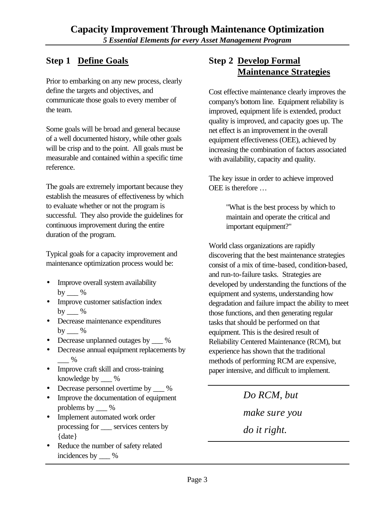# **Step 1 Define Goals**

Prior to embarking on any new process, clearly define the targets and objectives, and communicate those goals to every member of the team.

Some goals will be broad and general because of a well documented history, while other goals will be crisp and to the point. All goals must be measurable and contained within a specific time reference.

The goals are extremely important because they establish the measures of effectiveness by which to evaluate whether or not the program is successful. They also provide the guidelines for continuous improvement during the entire duration of the program.

Typical goals for a capacity improvement and maintenance optimization process would be:

- Improve overall system availability by  $\_\_\%$
- Improve customer satisfaction index by  $\_\_\%$
- Decrease maintenance expenditures by  $\%$
- Decrease unplanned outages by  $\_\_\%$
- Decrease annual equipment replacements by  $\%$
- Improve craft skill and cross-training knowledge by \_\_\_ %
- Decrease personnel overtime by  $\%$
- Improve the documentation of equipment problems by \_\_\_ %
- Implement automated work order processing for services centers by {date}
- Reduce the number of safety related incidences by \_\_\_ %

# **Step 2 Develop Formal Maintenance Strategies**

Cost effective maintenance clearly improves the company's bottom line. Equipment reliability is improved, equipment life is extended, product quality is improved, and capacity goes up. The net effect is an improvement in the overall equipment effectiveness (OEE), achieved by increasing the combination of factors associated with availability, capacity and quality.

The key issue in order to achieve improved OEE is therefore …

> "What is the best process by which to maintain and operate the critical and important equipment?"

World class organizations are rapidly discovering that the best maintenance strategies consist of a mix of time-based, condition-based, and run-to-failure tasks. Strategies are developed by understanding the functions of the equipment and systems, understanding how degradation and failure impact the ability to meet those functions, and then generating regular tasks that should be performed on that equipment. This is the desired result of Reliability Centered Maintenance (RCM), but experience has shown that the traditional methods of performing RCM are expensive, paper intensive, and difficult to implement.

> *Do RCM, but make sure you*

*do it right.*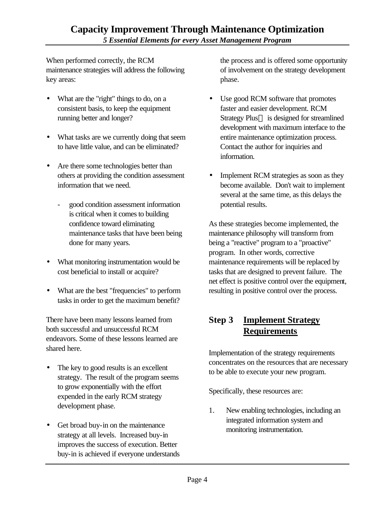When performed correctly, the RCM maintenance strategies will address the following key areas:

- What are the "right" things to do, on a consistent basis, to keep the equipment running better and longer?
- What tasks are we currently doing that seem to have little value, and can be eliminated?
- Are there some technologies better than others at providing the condition assessment information that we need.
	- good condition assessment information is critical when it comes to building confidence toward eliminating maintenance tasks that have been being done for many years.
- What monitoring instrumentation would be cost beneficial to install or acquire?
- What are the best "frequencies" to perform tasks in order to get the maximum benefit?

There have been many lessons learned from both successful and unsuccessful RCM endeavors. Some of these lessons learned are shared here.

- The key to good results is an excellent strategy. The result of the program seems to grow exponentially with the effort expended in the early RCM strategy development phase.
- Get broad buy-in on the maintenance strategy at all levels. Increased buy-in improves the success of execution. Better buy-in is achieved if everyone understands

the process and is offered some opportunity of involvement on the strategy development phase.

- Use good RCM software that promotes faster and easier development. RCM Strategy Plus<sup>TM</sup> is designed for streamlined development with maximum interface to the entire maintenance optimization process. Contact the author for inquiries and information.
- Implement RCM strategies as soon as they become available. Don't wait to implement several at the same time, as this delays the potential results.

As these strategies become implemented, the maintenance philosophy will transform from being a "reactive" program to a "proactive" program. In other words, corrective maintenance requirements will be replaced by tasks that are designed to prevent failure. The net effect is positive control over the equipment, resulting in positive control over the process.

# **Step 3 Implement Strategy Requirements**

Implementation of the strategy requirements concentrates on the resources that are necessary to be able to execute your new program.

Specifically, these resources are:

1. New enabling technologies, including an integrated information system and monitoring instrumentation.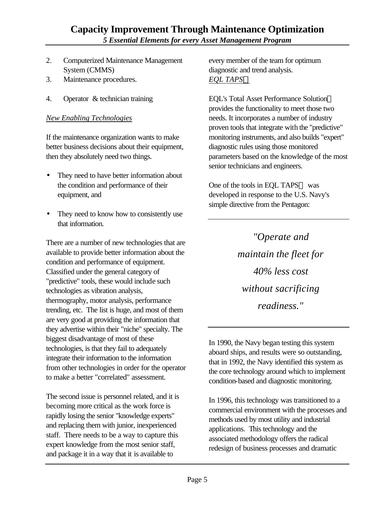#### **Capacity Improvement Through Maintenance Optimization** *5 Essential Elements for every Asset Management Program*

- 2. Computerized Maintenance Management System (CMMS)
- 3. Maintenance procedures.
- 4. Operator & technician training

#### *New Enabling Technologies*

If the maintenance organization wants to make better business decisions about their equipment, then they absolutely need two things.

- They need to have better information about the condition and performance of their equipment, and
- They need to know how to consistently use that information.

There are a number of new technologies that are available to provide better information about the condition and performance of equipment. Classified under the general category of "predictive" tools, these would include such technologies as vibration analysis, thermography, motor analysis, performance trending, etc. The list is huge, and most of them are very good at providing the information that they advertise within their "niche" specialty. The biggest disadvantage of most of these technologies, is that they fail to adequately integrate their information to the information from other technologies in order for the operator to make a better "correlated" assessment.

The second issue is personnel related, and it is becoming more critical as the work force is rapidly losing the senior "knowledge experts" and replacing them with junior, inexperienced staff. There needs to be a way to capture this expert knowledge from the most senior staff, and package it in a way that it is available to

every member of the team for optimum diagnostic and trend analysis. *EQL TAPSÔ*

EQL's Total Asset Performance Solution provides the functionality to meet those two needs. It incorporates a number of industry proven tools that integrate with the "predictive" monitoring instruments, and also builds "expert" diagnostic rules using those monitored parameters based on the knowledge of the most senior technicians and engineers.

One of the tools in EQL TAPS™ was developed in response to the U.S. Navy's simple directive from the Pentagon:

> *"Operate and maintain the fleet for 40% less cost without sacrificing readiness."*

In 1990, the Navy began testing this system aboard ships, and results were so outstanding, that in 1992, the Navy identified this system as the core technology around which to implement condition-based and diagnostic monitoring.

In 1996, this technology was transitioned to a commercial environment with the processes and methods used by most utility and industrial applications. This technology and the associated methodology offers the radical redesign of business processes and dramatic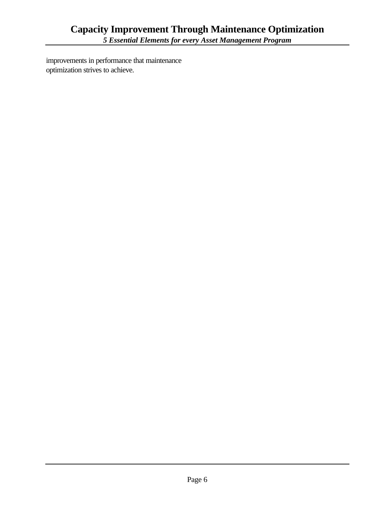improvements in performance that maintenance optimization strives to achieve.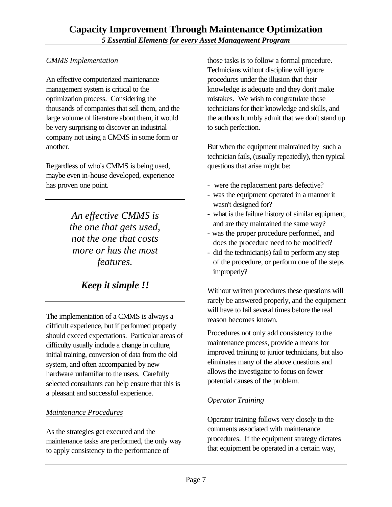#### *CMMS Implementation*

An effective computerized maintenance management system is critical to the optimization process. Considering the thousands of companies that sell them, and the large volume of literature about them, it would be very surprising to discover an industrial company not using a CMMS in some form or another.

Regardless of who's CMMS is being used, maybe even in-house developed, experience has proven one point.

> *An effective CMMS is the one that gets used, not the one that costs more or has the most features.*

# *Keep it simple !!*

The implementation of a CMMS is always a difficult experience, but if performed properly should exceed expectations. Particular areas of difficulty usually include a change in culture, initial training, conversion of data from the old system, and often accompanied by new hardware unfamiliar to the users. Carefully selected consultants can help ensure that this is a pleasant and successful experience.

#### *Maintenance Procedures*

As the strategies get executed and the maintenance tasks are performed, the only way to apply consistency to the performance of

those tasks is to follow a formal procedure. Technicians without discipline will ignore procedures under the illusion that their knowledge is adequate and they don't make mistakes. We wish to congratulate those technicians for their knowledge and skills, and the authors humbly admit that we don't stand up to such perfection.

But when the equipment maintained by such a technician fails, (usually repeatedly), then typical questions that arise might be:

- were the replacement parts defective?
- was the equipment operated in a manner it wasn't designed for?
- what is the failure history of similar equipment, and are they maintained the same way?
- was the proper procedure performed, and does the procedure need to be modified?
- did the technician(s) fail to perform any step of the procedure, or perform one of the steps improperly?

Without written procedures these questions will rarely be answered properly, and the equipment will have to fail several times before the real reason becomes known.

Procedures not only add consistency to the maintenance process, provide a means for improved training to junior technicians, but also eliminates many of the above questions and allows the investigator to focus on fewer potential causes of the problem.

#### *Operator Training*

Operator training follows very closely to the comments associated with maintenance procedures. If the equipment strategy dictates that equipment be operated in a certain way,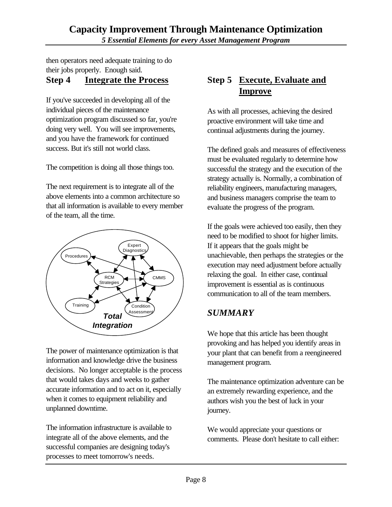then operators need adequate training to do their jobs properly. Enough said.

## **Step 4 Integrate the Process**

If you've succeeded in developing all of the individual pieces of the maintenance optimization program discussed so far, you're doing very well. You will see improvements, and you have the framework for continued success. But it's still not world class.

The competition is doing all those things too.

The next requirement is to integrate all of the above elements into a common architecture so that all information is available to every member of the team, all the time.



The power of maintenance optimization is that information and knowledge drive the business decisions. No longer acceptable is the process that would takes days and weeks to gather accurate information and to act on it, especially when it comes to equipment reliability and unplanned downtime.

The information infrastructure is available to integrate all of the above elements, and the successful companies are designing today's processes to meet tomorrow's needs.

# **Step 5 Execute, Evaluate and Improve**

As with all processes, achieving the desired proactive environment will take time and continual adjustments during the journey.

The defined goals and measures of effectiveness must be evaluated regularly to determine how successful the strategy and the execution of the strategy actually is. Normally, a combination of reliability engineers, manufacturing managers, and business managers comprise the team to evaluate the progress of the program.

If the goals were achieved too easily, then they need to be modified to shoot for higher limits. If it appears that the goals might be unachievable, then perhaps the strategies or the execution may need adjustment before actually relaxing the goal. In either case, continual improvement is essential as is continuous communication to all of the team members.

## *SUMMARY*

We hope that this article has been thought provoking and has helped you identify areas in your plant that can benefit from a reengineered management program.

The maintenance optimization adventure can be an extremely rewarding experience, and the authors wish you the best of luck in your journey.

We would appreciate your questions or comments. Please don't hesitate to call either: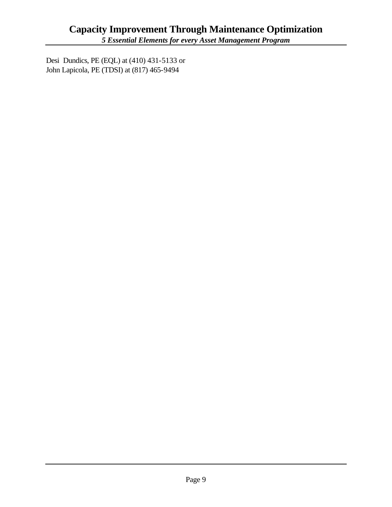Desi Dundics, PE (EQL) at (410) 431-5133 or John Lapicola, PE (TDSI) at (817) 465-9494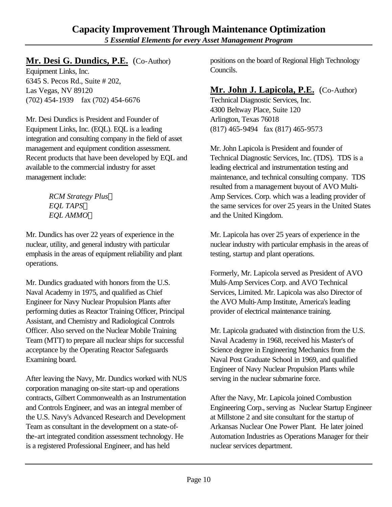# **Mr. Desi G. Dundics, P.E.** (Co-Author)

Equipment Links, Inc. 6345 S. Pecos Rd., Suite # 202, Las Vegas, NV 89120 (702) 454-1939 fax (702) 454-6676

Mr. Desi Dundics is President and Founder of Equipment Links, Inc. (EQL). EQL is a leading integration and consulting company in the field of asset management and equipment condition assessment. Recent products that have been developed by EQL and available to the commercial industry for asset management include:

> *RCM Strategy Plus EQL TAPS EQL AMMO*

Mr. Dundics has over 22 years of experience in the nuclear, utility, and general industry with particular emphasis in the areas of equipment reliability and plant operations.

Mr. Dundics graduated with honors from the U.S. Naval Academy in 1975, and qualified as Chief Engineer for Navy Nuclear Propulsion Plants after performing duties as Reactor Training Officer, Principal Assistant, and Chemistry and Radiological Controls Officer. Also served on the Nuclear Mobile Training Team (MTT) to prepare all nuclear ships for successful acceptance by the Operating Reactor Safeguards Examining board.

After leaving the Navy, Mr. Dundics worked with NUS corporation managing on-site start-up and operations contracts, Gilbert Commonwealth as an Instrumentation and Controls Engineer, and was an integral member of the U.S. Navy's Advanced Research and Development Team as consultant in the development on a state-ofthe-art integrated condition assessment technology. He is a registered Professional Engineer, and has held

positions on the board of Regional High Technology Councils.

# **Mr. John J. Lapicola, P.E.** (Co-Author)

Technical Diagnostic Services, Inc. 4300 Beltway Place, Suite 120 Arlington, Texas 76018 (817) 465-9494 fax (817) 465-9573

Mr. John Lapicola is President and founder of Technical Diagnostic Services, Inc. (TDS). TDS is a leading electrical and instrumentation testing and maintenance, and technical consulting company. TDS resulted from a management buyout of AVO Multi-Amp Services. Corp. which was a leading provider of the same services for over 25 years in the United States and the United Kingdom.

Mr. Lapicola has over 25 years of experience in the nuclear industry with particular emphasis in the areas of testing, startup and plant operations.

Formerly, Mr. Lapicola served as President of AVO Multi-Amp Services Corp. and AVO Technical Services, Limited. Mr. Lapicola was also Director of the AVO Multi-Amp Institute, America's leading provider of electrical maintenance training.

Mr. Lapicola graduated with distinction from the U.S. Naval Academy in 1968, received his Master's of Science degree in Engineering Mechanics from the Naval Post Graduate School in 1969, and qualified Engineer of Navy Nuclear Propulsion Plants while serving in the nuclear submarine force.

After the Navy, Mr. Lapicola joined Combustion Engineering Corp., serving as Nuclear Startup Engineer at Millstone 2 and site consultant for the startup of Arkansas Nuclear One Power Plant. He later joined Automation Industries as Operations Manager for their nuclear services department.